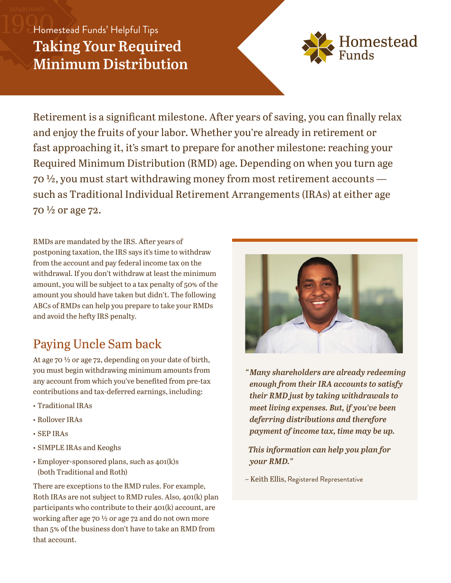## Homestead Funds' Helpful Tips **Taking Your Required Minimum Distribution**



Retirement is a significant milestone. After years of saving, you can finally relax and enjoy the fruits of your labor. Whether you're already in retirement or fast approaching it, it's smart to prepare for another milestone: reaching your Required Minimum Distribution (RMD) age. Depending on when you turn age 70 ½, you must start withdrawing money from most retirement accounts such as Traditional Individual Retirement Arrangements (IRAs) at either age 70  $\frac{1}{2}$  or age 72.

RMDs are mandated by the IRS. After years of postponing taxation, the IRS says it's time to withdraw from the account and pay federal income tax on the withdrawal. If you don't withdraw at least the minimum amount, you will be subject to a tax penalty of 50% of the amount you should have taken but didn't. The following ABCs of RMDs can help you prepare to take your RMDs and avoid the hefty IRS penalty.

# Paying Uncle Sam back

At age 70 ½ or age 72, depending on your date of birth, you must begin withdrawing minimum amounts from any account from which you've benefited from pre-tax contributions and tax-deferred earnings, including:

- Traditional IRAs
- Rollover IRAs
- SEP IRAs
- SIMPLE IRAs and Keoghs
- Employer-sponsored plans, such as 401(k)s (both Traditional and Roth)

There are exceptions to the RMD rules. For example, Roth IRAs are not subject to RMD rules. Also, 401(k) plan participants who contribute to their 401(k) account, are working after age 70 ½ or age 72 and do not own more than 5% of the business don't have to take an RMD from that account.



*"Many shareholders are already redeeming enough from their IRA accounts to satisfy their RMD just by taking withdrawals to meet living expenses. But, if you've been deferring distributions and therefore payment of income tax, time may be up.*

*This information can help you plan for your RMD."*

– Keith Ellis, Registered Representative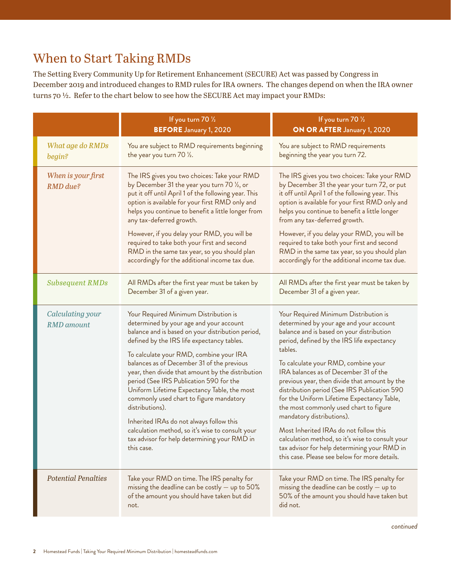## When to Start Taking RMDs

The Setting Every Community Up for Retirement Enhancement (SECURE) Act was passed by Congress in December 2019 and introduced changes to RMD rules for IRA owners. The changes depend on when the IRA owner turns 70 ½. Refer to the chart below to see how the SECURE Act may impact your RMDs:

|                                       | If you turn $70\frac{1}{2}$<br><b>BEFORE</b> January 1, 2020                                                                                                                                                                                                                                                                                                                                                                                                                                                                                                                                                                                            | If you turn 70 1/2<br>ON OR AFTER January 1, 2020                                                                                                                                                                                                                                                                                                                                                                                                                                                                                                                                                                                                                                           |
|---------------------------------------|---------------------------------------------------------------------------------------------------------------------------------------------------------------------------------------------------------------------------------------------------------------------------------------------------------------------------------------------------------------------------------------------------------------------------------------------------------------------------------------------------------------------------------------------------------------------------------------------------------------------------------------------------------|---------------------------------------------------------------------------------------------------------------------------------------------------------------------------------------------------------------------------------------------------------------------------------------------------------------------------------------------------------------------------------------------------------------------------------------------------------------------------------------------------------------------------------------------------------------------------------------------------------------------------------------------------------------------------------------------|
| What age do RMDs<br>begin?            | You are subject to RMD requirements beginning<br>the year you turn 70 1/2.                                                                                                                                                                                                                                                                                                                                                                                                                                                                                                                                                                              | You are subject to RMD requirements<br>beginning the year you turn 72.                                                                                                                                                                                                                                                                                                                                                                                                                                                                                                                                                                                                                      |
| When is your first<br>RMD due?        | The IRS gives you two choices: Take your RMD<br>by December 31 the year you turn 70 1/2, or<br>put it off until April 1 of the following year. This<br>option is available for your first RMD only and<br>helps you continue to benefit a little longer from<br>any tax-deferred growth.<br>However, if you delay your RMD, you will be<br>required to take both your first and second<br>RMD in the same tax year, so you should plan<br>accordingly for the additional income tax due.                                                                                                                                                                | The IRS gives you two choices: Take your RMD<br>by December 31 the year your turn 72, or put<br>it off until April 1 of the following year. This<br>option is available for your first RMD only and<br>helps you continue to benefit a little longer<br>from any tax-deferred growth.<br>However, if you delay your RMD, you will be<br>required to take both your first and second<br>RMD in the same tax year, so you should plan<br>accordingly for the additional income tax due.                                                                                                                                                                                                       |
| <b>Subsequent RMDs</b>                | All RMDs after the first year must be taken by<br>December 31 of a given year.                                                                                                                                                                                                                                                                                                                                                                                                                                                                                                                                                                          | All RMDs after the first year must be taken by<br>December 31 of a given year.                                                                                                                                                                                                                                                                                                                                                                                                                                                                                                                                                                                                              |
| Calculating your<br><b>RMD</b> amount | Your Required Minimum Distribution is<br>determined by your age and your account<br>balance and is based on your distribution period,<br>defined by the IRS life expectancy tables.<br>To calculate your RMD, combine your IRA<br>balances as of December 31 of the previous<br>year, then divide that amount by the distribution<br>period (See IRS Publication 590 for the<br>Uniform Lifetime Expectancy Table, the most<br>commonly used chart to figure mandatory<br>distributions).<br>Inherited IRAs do not always follow this<br>calculation method, so it's wise to consult your<br>tax advisor for help determining your RMD in<br>this case. | Your Required Minimum Distribution is<br>determined by your age and your account<br>balance and is based on your distribution<br>period, defined by the IRS life expectancy<br>tables.<br>To calculate your RMD, combine your<br>IRA balances as of December 31 of the<br>previous year, then divide that amount by the<br>distribution period (See IRS Publication 590<br>for the Uniform Lifetime Expectancy Table,<br>the most commonly used chart to figure<br>mandatory distributions).<br>Most Inherited IRAs do not follow this<br>calculation method, so it's wise to consult your<br>tax advisor for help determining your RMD in<br>this case. Please see below for more details. |
| <b>Potential Penalties</b>            | Take your RMD on time. The IRS penalty for<br>missing the deadline can be costly $-$ up to 50%<br>of the amount you should have taken but did<br>not.                                                                                                                                                                                                                                                                                                                                                                                                                                                                                                   | Take your RMD on time. The IRS penalty for<br>missing the deadline can be costly $-$ up to<br>50% of the amount you should have taken but<br>did not.                                                                                                                                                                                                                                                                                                                                                                                                                                                                                                                                       |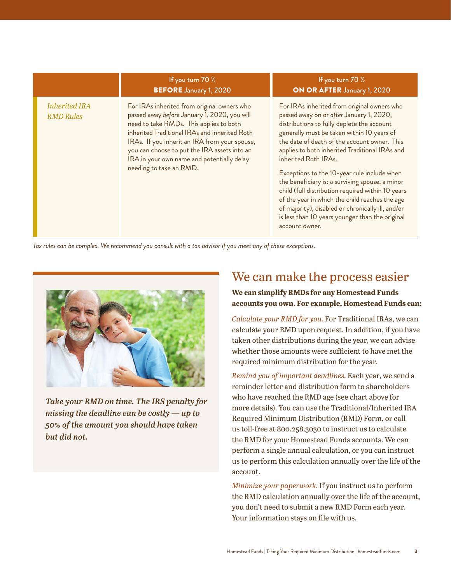|                                          | If you turn 70 1/2<br><b>BEFORE</b> January 1, 2020                                                                                                                                                                                                                                                                                                               | If you turn $70\frac{1}{2}$<br>ON OR AFTER January 1, 2020                                                                                                                                                                                                                                                                                                                                                                                                                                                                                                                                                                                       |
|------------------------------------------|-------------------------------------------------------------------------------------------------------------------------------------------------------------------------------------------------------------------------------------------------------------------------------------------------------------------------------------------------------------------|--------------------------------------------------------------------------------------------------------------------------------------------------------------------------------------------------------------------------------------------------------------------------------------------------------------------------------------------------------------------------------------------------------------------------------------------------------------------------------------------------------------------------------------------------------------------------------------------------------------------------------------------------|
| <b>Inherited IRA</b><br><b>RMD</b> Rules | For IRAs inherited from original owners who<br>passed away before January 1, 2020, you will<br>need to take RMDs. This applies to both<br>inherited Traditional IRAs and inherited Roth<br>IRAs. If you inherit an IRA from your spouse,<br>you can choose to put the IRA assets into an<br>IRA in your own name and potentially delay<br>needing to take an RMD. | For IRAs inherited from original owners who<br>passed away on or after January 1, 2020,<br>distributions to fully deplete the account<br>generally must be taken within 10 years of<br>the date of death of the account owner. This<br>applies to both inherited Traditional IRAs and<br>inherited Roth IRAs.<br>Exceptions to the 10-year rule include when<br>the beneficiary is: a surviving spouse, a minor<br>child (full distribution required within 10 years<br>of the year in which the child reaches the age<br>of majority), disabled or chronically ill, and/or<br>is less than 10 years younger than the original<br>account owner. |

*Tax rules can be complex. We recommend you consult with a tax advisor if you meet any of these exceptions.* 



*Take your RMD on time. The IRS penalty for missing the deadline can be costly — up to 50% of the amount you should have taken but did not.*

## We can make the process easier

### **We can simplify RMDs for any Homestead Funds accounts you own. For example, Homestead Funds can:**

*Calculate your RMD for you.* For Traditional IRAs, we can calculate your RMD upon request. In addition, if you have taken other distributions during the year, we can advise whether those amounts were sufficient to have met the required minimum distribution for the year.

*Remind you of important deadlines.* Each year, we send a reminder letter and distribution form to shareholders who have reached the RMD age (see chart above for more details). You can use the Traditional/Inherited IRA Required Minimum Distribution (RMD) Form, or call us toll-free at 800.258.3030 to instruct us to calculate the RMD for your Homestead Funds accounts. We can perform a single annual calculation, or you can instruct us to perform this calculation annually over the life of the account.

*Minimize your paperwork.* If you instruct us to perform the RMD calculation annually over the life of the account, you don't need to submit a new RMD Form each year. Your information stays on file with us.